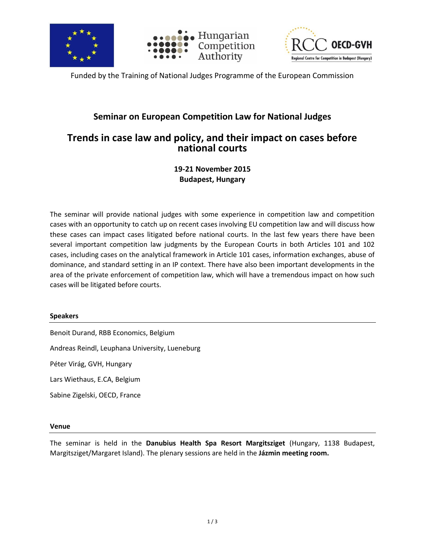





Funded by the Training of National Judges Programme of the European Commission

### **Seminar on European Competition Law for National Judges**

## **Trends in case law and policy, and their impact on cases before national courts**

**19-21 November 2015 Budapest, Hungary**

The seminar will provide national judges with some experience in competition law and competition cases with an opportunity to catch up on recent cases involving EU competition law and will discuss how these cases can impact cases litigated before national courts. In the last few years there have been several important competition law judgments by the European Courts in both Articles 101 and 102 cases, including cases on the analytical framework in Article 101 cases, information exchanges, abuse of dominance, and standard setting in an IP context. There have also been important developments in the area of the private enforcement of competition law, which will have a tremendous impact on how such cases will be litigated before courts.

### **Speakers**

Benoit Durand, RBB Economics, Belgium

Andreas Reindl, Leuphana University, Lueneburg

Péter Virág, GVH, Hungary

Lars Wiethaus, E.CA, Belgium

Sabine Zigelski, OECD, France

#### **Venue**

The seminar is held in the **Danubius Health Spa Resort Margitsziget** (Hungary, 1138 Budapest, Margitsziget/Margaret Island). The plenary sessions are held in the **Jázmin meeting room.**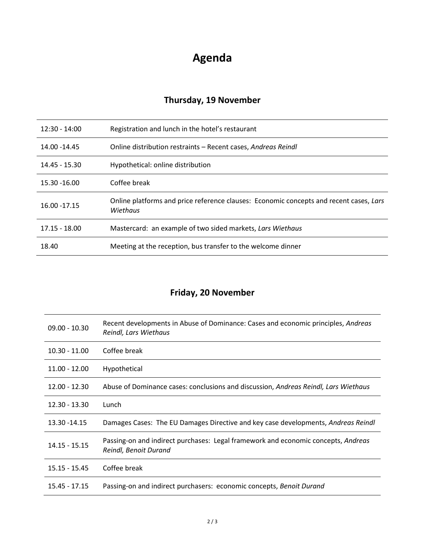# **Agenda**

## **Thursday, 19 November**

| $12:30 - 14:00$ | Registration and lunch in the hotel's restaurant                                                   |
|-----------------|----------------------------------------------------------------------------------------------------|
| 14.00 -14.45    | Online distribution restraints – Recent cases, Andreas Reindl                                      |
| 14.45 - 15.30   | Hypothetical: online distribution                                                                  |
| 15.30 -16.00    | Coffee break                                                                                       |
| 16.00 - 17.15   | Online platforms and price reference clauses: Economic concepts and recent cases, Lars<br>Wiethaus |
| $17.15 - 18.00$ | Mastercard: an example of two sided markets, Lars Wiethaus                                         |
| 18.40           | Meeting at the reception, bus transfer to the welcome dinner                                       |

## **Friday, 20 November**

| $09.00 - 10.30$ | Recent developments in Abuse of Dominance: Cases and economic principles, Andreas<br>Reindl, Lars Wiethaus |
|-----------------|------------------------------------------------------------------------------------------------------------|
| $10.30 - 11.00$ | Coffee break                                                                                               |
| $11.00 - 12.00$ | <b>Hypothetical</b>                                                                                        |
| $12.00 - 12.30$ | Abuse of Dominance cases: conclusions and discussion, Andreas Reindl, Lars Wiethaus                        |
| $12.30 - 13.30$ | Lunch                                                                                                      |
| 13.30 - 14.15   | Damages Cases: The EU Damages Directive and key case developments, Andreas Reindl                          |
| $14.15 - 15.15$ | Passing-on and indirect purchases: Legal framework and economic concepts, Andreas<br>Reindl, Benoit Durand |
| $15.15 - 15.45$ | Coffee break                                                                                               |
| $15.45 - 17.15$ | Passing-on and indirect purchasers: economic concepts, Benoit Durand                                       |